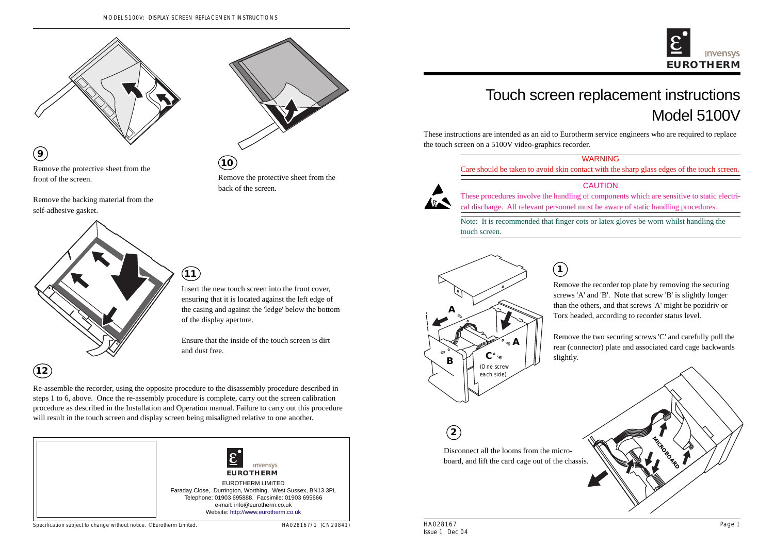HA028167 Issue 1 Dec 04



# Touch screen replacement instructions Model 5100V

These instructions are intended as an aid to Eurotherm service engineers who are required to replace the touch screen on a 5100V video-graphics recorder.



|--|

Care should be taken to avoid skin contact with the sharp glass edges of the touch screen.

### CAUTION

These procedures involve the handling of components which are sensitive to static electrical discharge. All relevant personnel must be aware of static handling procedures.

Re-assemble the recorder, using the opposite procedure to the disassembly procedure described in steps 1 to 6, above. Once the re-assembly procedure is complete, carry out the screen calibration procedure as described in the Installation and Operation manual. Failure to carry out this procedure will result in the touch screen and display screen being misaligned relative to one another.

Note: It is recommended that finger cots or latex gloves be worn whilst handling the touch screen.



Remove the recorder top plate by removing the securing screws 'A' and 'B'. Note that screw 'B' is slightly longer than the others, and that screws 'A' might be pozidriv or Torx headed, according to recorder status level.

Remove the two securing screws 'C' and carefully pull the rear (connector) plate and associated card cage backwards slightly.

**1**



Disconnect all the looms from the microboard, and lift the card cage out of the chassis.

**2**



Remove the protective sheet from the front of the screen.

Remove the backing material from the self-adhesive gasket.



Remove the protective sheet from the back of the screen.



Insert the new touch screen into the front cover, ensuring that it is located against the left edge of the casing and against the 'ledge' below the bottom of the display aperture.

Ensure that the inside of the touch screen is dirt and dust free.



#### Specification subject to change without notice. ©Eurotherm Limited.

HA028167/1 (CN20841)

## **12**